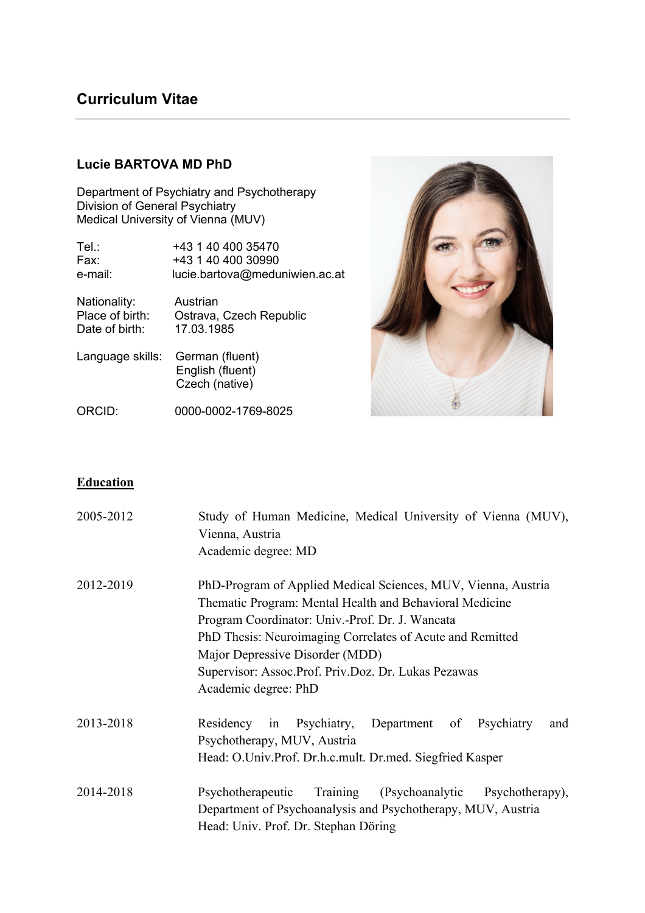# **Curriculum Vitae**

## **Lucie BARTOVA MD PhD**

Department of Psychiatry and Psychotherapy Division of General Psychiatry Medical University of Vienna (MUV)

| Tel∴             | +43 1 40 400 35470                                    |
|------------------|-------------------------------------------------------|
| Fax:             | +43 1 40 400 30990                                    |
| e-mail:          | lucie.bartova@meduniwien.ac.at                        |
| Nationality:     | Austrian                                              |
| Place of birth:  | Ostrava, Czech Republic                               |
| Date of birth:   | 17.03.1985                                            |
| Language skills: | German (fluent)<br>English (fluent)<br>Czech (native) |



ORCID: 0000-0002-1769-8025

## **Education**

| 2005-2012 | Study of Human Medicine, Medical University of Vienna (MUV),<br>Vienna, Austria<br>Academic degree: MD                                                                                                                                                                                                                                                     |
|-----------|------------------------------------------------------------------------------------------------------------------------------------------------------------------------------------------------------------------------------------------------------------------------------------------------------------------------------------------------------------|
| 2012-2019 | PhD-Program of Applied Medical Sciences, MUV, Vienna, Austria<br>Thematic Program: Mental Health and Behavioral Medicine<br>Program Coordinator: Univ.-Prof. Dr. J. Wancata<br>PhD Thesis: Neuroimaging Correlates of Acute and Remitted<br>Major Depressive Disorder (MDD)<br>Supervisor: Assoc.Prof. Priv.Doz. Dr. Lukas Pezawas<br>Academic degree: PhD |
| 2013-2018 | Psychiatry, Department of Psychiatry<br>Residency in<br>and<br>Psychotherapy, MUV, Austria<br>Head: O.Univ.Prof. Dr.h.c.mult. Dr.med. Siegfried Kasper                                                                                                                                                                                                     |
| 2014-2018 | Psychotherapeutic<br>(Psychoanalytic Psychotherapy),<br>Training<br>Department of Psychoanalysis and Psychotherapy, MUV, Austria<br>Head: Univ. Prof. Dr. Stephan Döring                                                                                                                                                                                   |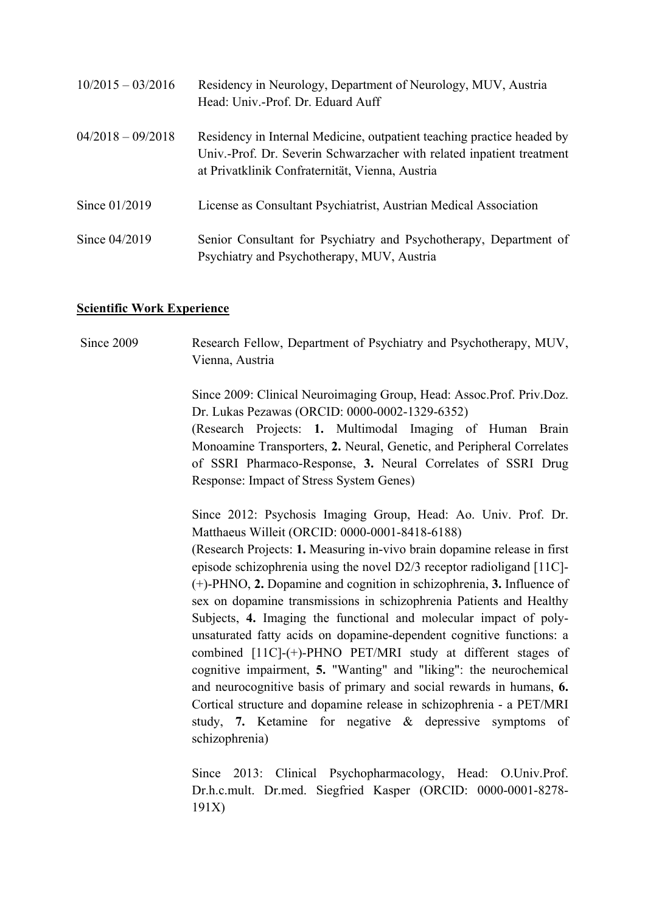| $10/2015 - 03/2016$ | Residency in Neurology, Department of Neurology, MUV, Austria<br>Head: Univ.-Prof. Dr. Eduard Auff                                                                                                 |
|---------------------|----------------------------------------------------------------------------------------------------------------------------------------------------------------------------------------------------|
| $04/2018 - 09/2018$ | Residency in Internal Medicine, outpatient teaching practice headed by<br>Univ.-Prof. Dr. Severin Schwarzacher with related inpatient treatment<br>at Privatklinik Confraternität, Vienna, Austria |
| Since 01/2019       | License as Consultant Psychiatrist, Austrian Medical Association                                                                                                                                   |
| Since 04/2019       | Senior Consultant for Psychiatry and Psychotherapy, Department of<br>Psychiatry and Psychotherapy, MUV, Austria                                                                                    |

#### **Scientific Work Experience**

Since 2009 Research Fellow, Department of Psychiatry and Psychotherapy, MUV, Vienna, Austria

> Since 2009: Clinical Neuroimaging Group, Head: Assoc.Prof. Priv.Doz. Dr. Lukas Pezawas (ORCID: 0000-0002-1329-6352)

> (Research Projects: **1.** Multimodal Imaging of Human Brain Monoamine Transporters, **2.** Neural, Genetic, and Peripheral Correlates of SSRI Pharmaco-Response, **3.** Neural Correlates of SSRI Drug Response: Impact of Stress System Genes)

> Since 2012: Psychosis Imaging Group, Head: Ao. Univ. Prof. Dr. Matthaeus Willeit (ORCID: 0000-0001-8418-6188)

> (Research Projects: **1.** Measuring in-vivo brain dopamine release in first episode schizophrenia using the novel D2/3 receptor radioligand [11C]- (+)-PHNO, **2.** Dopamine and cognition in schizophrenia, **3.** Influence of sex on dopamine transmissions in schizophrenia Patients and Healthy Subjects, **4.** Imaging the functional and molecular impact of polyunsaturated fatty acids on dopamine-dependent cognitive functions: a combined [11C]-(+)-PHNO PET/MRI study at different stages of cognitive impairment, **5.** "Wanting" and "liking": the neurochemical and neurocognitive basis of primary and social rewards in humans, **6.** Cortical structure and dopamine release in schizophrenia - a PET/MRI study, **7.** Ketamine for negative & depressive symptoms of schizophrenia)

> Since 2013: Clinical Psychopharmacology, Head: O.Univ.Prof. Dr.h.c.mult. Dr.med. Siegfried Kasper (ORCID: 0000-0001-8278- 191X)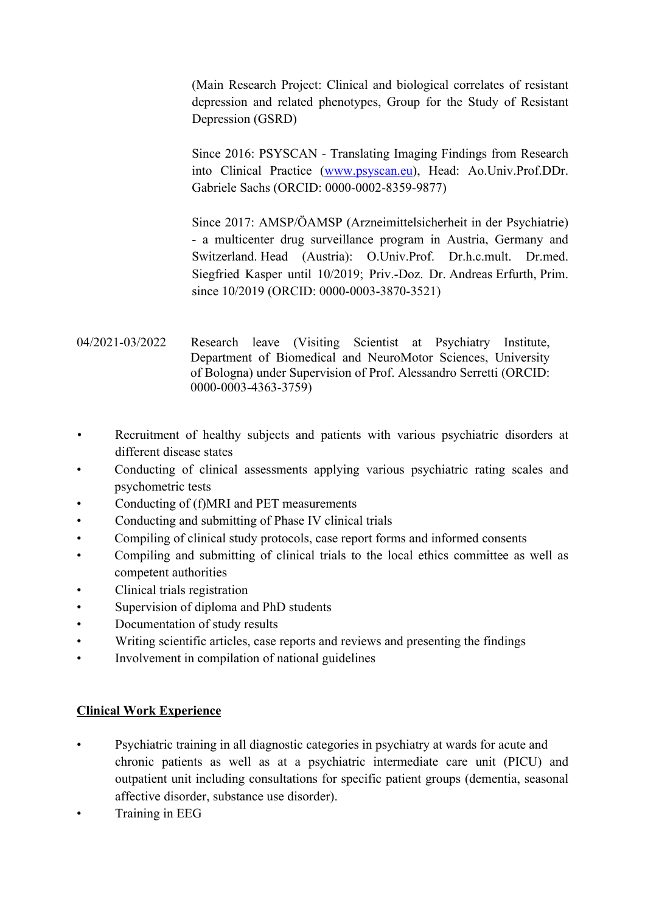(Main Research Project: Clinical and biological correlates of resistant depression and related phenotypes, Group for the Study of Resistant Depression (GSRD)

Since 2016: PSYSCAN - Translating Imaging Findings from Research into Clinical Practice (www.psyscan.eu), Head: Ao.Univ.Prof.DDr. Gabriele Sachs (ORCID: 0000-0002-8359-9877)

Since 2017: AMSP/ÖAMSP (Arzneimittelsicherheit in der Psychiatrie) - a multicenter drug surveillance program in Austria, Germany and Switzerland. Head (Austria): O.Univ.Prof. Dr.h.c.mult. Dr.med. Siegfried Kasper until 10/2019; Priv.-Doz. Dr. Andreas Erfurth, Prim. since 10/2019 (ORCID: 0000-0003-3870-3521)

- 04/2021-03/2022 Research leave (Visiting Scientist at Psychiatry Institute, Department of Biomedical and NeuroMotor Sciences, University of Bologna) under Supervision of Prof. Alessandro Serretti (ORCID: 0000-0003-4363-3759)
- Recruitment of healthy subjects and patients with various psychiatric disorders at different disease states
- Conducting of clinical assessments applying various psychiatric rating scales and psychometric tests
- Conducting of (f)MRI and PET measurements
- Conducting and submitting of Phase IV clinical trials
- Compiling of clinical study protocols, case report forms and informed consents
- Compiling and submitting of clinical trials to the local ethics committee as well as competent authorities
- Clinical trials registration
- Supervision of diploma and PhD students
- Documentation of study results
- Writing scientific articles, case reports and reviews and presenting the findings
- Involvement in compilation of national guidelines

## **Clinical Work Experience**

- Psychiatric training in all diagnostic categories in psychiatry at wards for acute and chronic patients as well as at a psychiatric intermediate care unit (PICU) and outpatient unit including consultations for specific patient groups (dementia, seasonal affective disorder, substance use disorder).
- Training in EEG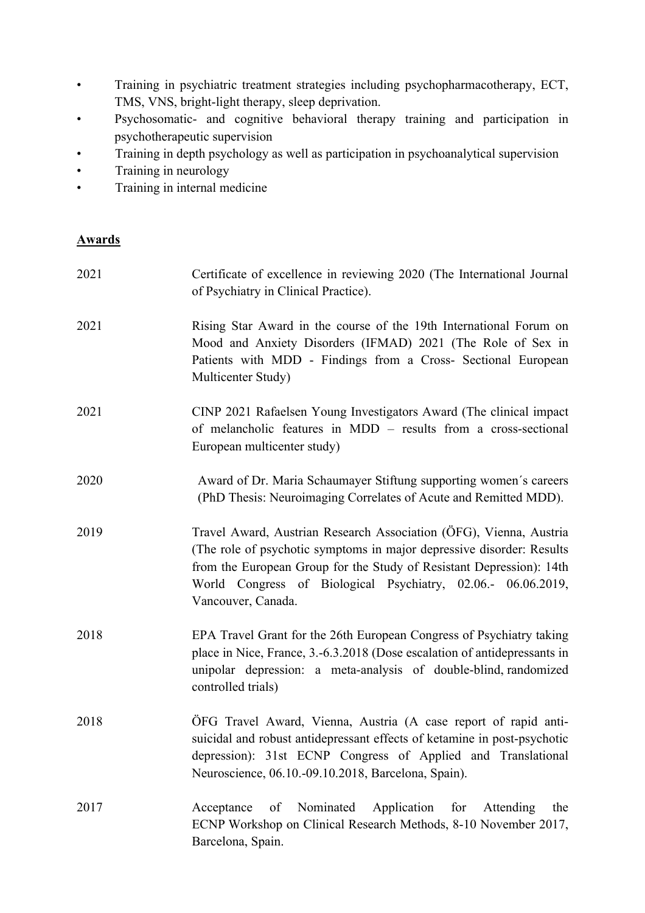- Training in psychiatric treatment strategies including psychopharmacotherapy, ECT, TMS, VNS, bright-light therapy, sleep deprivation.
- Psychosomatic- and cognitive behavioral therapy training and participation in psychotherapeutic supervision
- Training in depth psychology as well as participation in psychoanalytical supervision
- Training in neurology
- Training in internal medicine

## **Awards**

| 2021 | Certificate of excellence in reviewing 2020 (The International Journal<br>of Psychiatry in Clinical Practice).                                                                                                                                                                                             |
|------|------------------------------------------------------------------------------------------------------------------------------------------------------------------------------------------------------------------------------------------------------------------------------------------------------------|
| 2021 | Rising Star Award in the course of the 19th International Forum on<br>Mood and Anxiety Disorders (IFMAD) 2021 (The Role of Sex in<br>Patients with MDD - Findings from a Cross- Sectional European<br>Multicenter Study)                                                                                   |
| 2021 | CINP 2021 Rafaelsen Young Investigators Award (The clinical impact<br>of melancholic features in MDD – results from a cross-sectional<br>European multicenter study)                                                                                                                                       |
| 2020 | Award of Dr. Maria Schaumayer Stiftung supporting women's careers<br>(PhD Thesis: Neuroimaging Correlates of Acute and Remitted MDD).                                                                                                                                                                      |
| 2019 | Travel Award, Austrian Research Association (ÖFG), Vienna, Austria<br>(The role of psychotic symptoms in major depressive disorder: Results)<br>from the European Group for the Study of Resistant Depression): 14th<br>World Congress of Biological Psychiatry, 02.06.- 06.06.2019,<br>Vancouver, Canada. |
| 2018 | EPA Travel Grant for the 26th European Congress of Psychiatry taking<br>place in Nice, France, 3.-6.3.2018 (Dose escalation of antidepressants in<br>unipolar depression: a meta-analysis of double-blind, randomized<br>controlled trials)                                                                |
| 2018 | ÖFG Travel Award, Vienna, Austria (A case report of rapid anti-<br>suicidal and robust antidepressant effects of ketamine in post-psychotic<br>depression): 31st ECNP Congress of Applied and Translational<br>Neuroscience, 06.10.-09.10.2018, Barcelona, Spain).                                         |
| 2017 | Nominated<br>Application<br>of<br>for<br>Acceptance<br>Attending<br>the<br>ECNP Workshop on Clinical Research Methods, 8-10 November 2017,<br>Barcelona, Spain.                                                                                                                                            |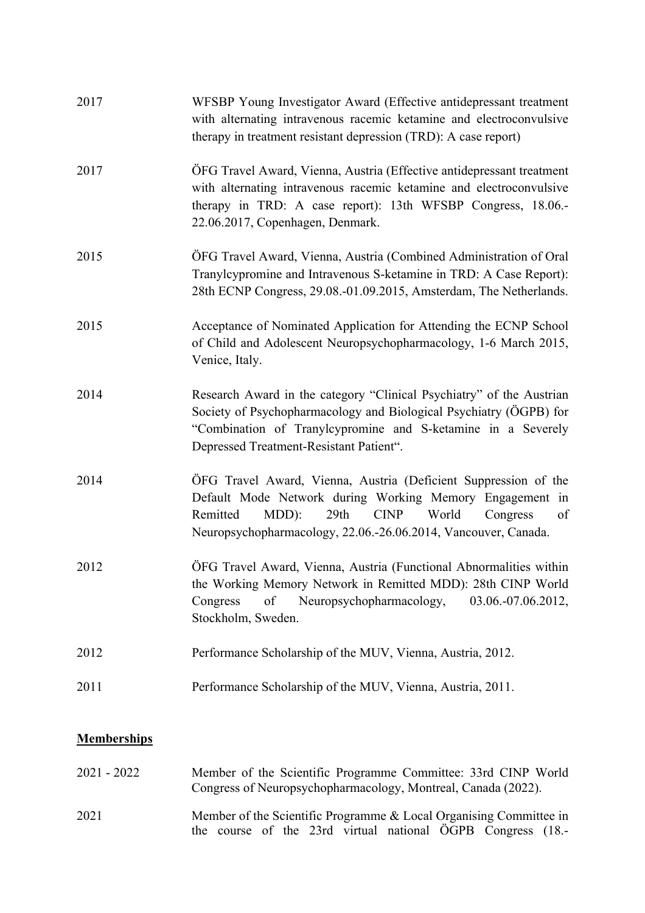| <b>Memberships</b> |                                                                                                                                                                                                                                                                      |
|--------------------|----------------------------------------------------------------------------------------------------------------------------------------------------------------------------------------------------------------------------------------------------------------------|
| 2011               | Performance Scholarship of the MUV, Vienna, Austria, 2011.                                                                                                                                                                                                           |
| 2012               | Performance Scholarship of the MUV, Vienna, Austria, 2012.                                                                                                                                                                                                           |
| 2012               | ÖFG Travel Award, Vienna, Austria (Functional Abnormalities within<br>the Working Memory Network in Remitted MDD): 28th CINP World<br>of<br>03.06.-07.06.2012,<br>Congress<br>Neuropsychopharmacology,<br>Stockholm, Sweden.                                         |
| 2014               | OFG Travel Award, Vienna, Austria (Deficient Suppression of the<br>Default Mode Network during Working Memory Engagement in<br>Remitted<br>MDD):<br>29th<br><b>CINP</b><br>World<br>Congress<br>of<br>Neuropsychopharmacology, 22.06.-26.06.2014, Vancouver, Canada. |
| 2014               | Research Award in the category "Clinical Psychiatry" of the Austrian<br>Society of Psychopharmacology and Biological Psychiatry (ÖGPB) for<br>"Combination of Tranylcypromine and S-ketamine in a Severely<br>Depressed Treatment-Resistant Patient".                |
| 2015               | Acceptance of Nominated Application for Attending the ECNP School<br>of Child and Adolescent Neuropsychopharmacology, 1-6 March 2015,<br>Venice, Italy.                                                                                                              |
| 2015               | OFG Travel Award, Vienna, Austria (Combined Administration of Oral<br>Tranylcypromine and Intravenous S-ketamine in TRD: A Case Report):<br>28th ECNP Congress, 29.08.-01.09.2015, Amsterdam, The Netherlands.                                                       |
| 2017               | ÖFG Travel Award, Vienna, Austria (Effective antidepressant treatment<br>with alternating intravenous racemic ketamine and electroconvulsive<br>therapy in TRD: A case report): 13th WFSBP Congress, 18.06.-<br>22.06.2017, Copenhagen, Denmark.                     |
| 2017               | WFSBP Young Investigator Award (Effective antidepressant treatment<br>with alternating intravenous racemic ketamine and electroconvulsive<br>therapy in treatment resistant depression (TRD): A case report)                                                         |

| $2021 - 2022$ | Member of the Scientific Programme Committee: 33rd CINP World<br>Congress of Neuropsychopharmacology, Montreal, Canada (2022).    |
|---------------|-----------------------------------------------------------------------------------------------------------------------------------|
| 2021          | Member of the Scientific Programme & Local Organising Committee in<br>the course of the 23rd virtual national ÖGPB Congress (18.- |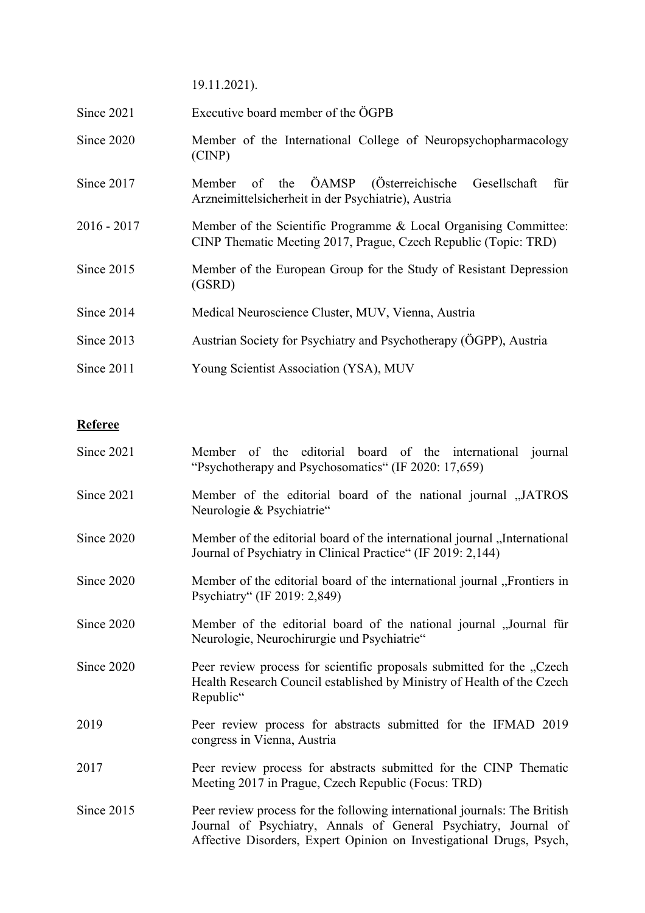19.11.2021).

- Since 2021 Executive board member of the ÖGPB
- Since 2020 Member of the International College of Neuropsychopharmacology (CINP)
- Since 2017 Member of the ÖAMSP (Österreichische Gesellschaft für Arzneimittelsicherheit in der Psychiatrie), Austria
- 2016 2017 Member of the Scientific Programme & Local Organising Committee: CINP Thematic Meeting 2017, Prague, Czech Republic (Topic: TRD)
- Since 2015 Member of the European Group for the Study of Resistant Depression (GSRD)
- Since 2014 Medical Neuroscience Cluster, MUV, Vienna, Austria
- Since 2013 Austrian Society for Psychiatry and Psychotherapy (ÖGPP), Austria
- Since 2011 Young Scientist Association (YSA), MUV

## **Referee**

| Since 2021 | Member of the editorial board of the international journal<br>"Psychotherapy and Psychosomatics" (IF 2020: 17,659)                                                                                                   |
|------------|----------------------------------------------------------------------------------------------------------------------------------------------------------------------------------------------------------------------|
| Since 2021 | Member of the editorial board of the national journal "JATROS<br>Neurologie & Psychiatrie"                                                                                                                           |
| Since 2020 | Member of the editorial board of the international journal "International<br>Journal of Psychiatry in Clinical Practice" (IF 2019: 2,144)                                                                            |
| Since 2020 | Member of the editorial board of the international journal "Frontiers in<br>Psychiatry" (IF 2019: 2,849)                                                                                                             |
| Since 2020 | Member of the editorial board of the national journal ,, Journal für<br>Neurologie, Neurochirurgie und Psychiatrie"                                                                                                  |
| Since 2020 | Peer review process for scientific proposals submitted for the "Czech<br>Health Research Council established by Ministry of Health of the Czech<br>Republic"                                                         |
| 2019       | Peer review process for abstracts submitted for the IFMAD 2019<br>congress in Vienna, Austria                                                                                                                        |
| 2017       | Peer review process for abstracts submitted for the CINP Thematic<br>Meeting 2017 in Prague, Czech Republic (Focus: TRD)                                                                                             |
| Since 2015 | Peer review process for the following international journals: The British<br>Journal of Psychiatry, Annals of General Psychiatry, Journal of<br>Affective Disorders, Expert Opinion on Investigational Drugs, Psych, |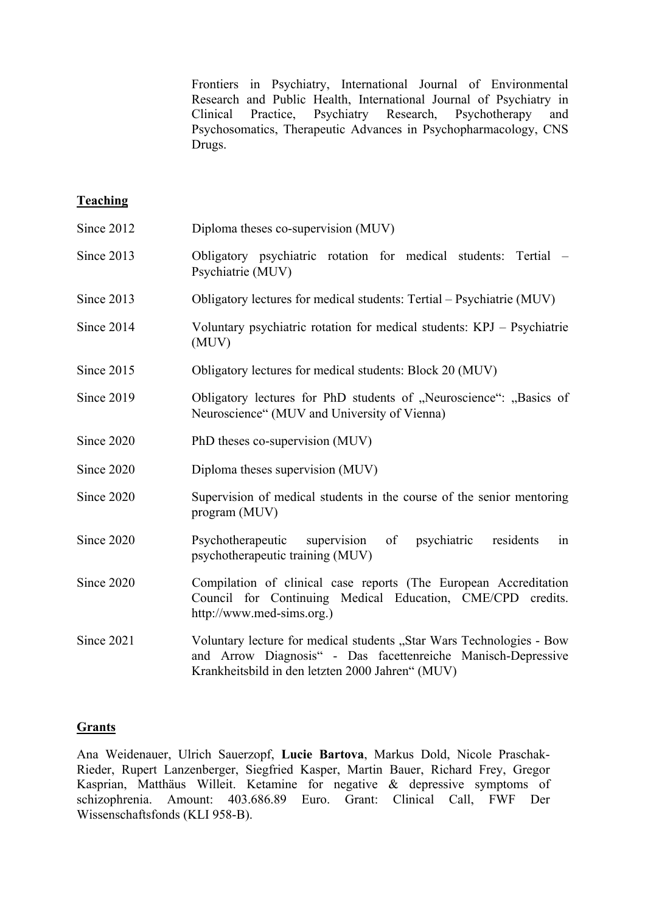Frontiers in Psychiatry, International Journal of Environmental Research and Public Health, International Journal of Psychiatry in Clinical Practice, Psychiatry Research, Psychotherapy and Psychosomatics, Therapeutic Advances in Psychopharmacology, CNS Drugs.

### **Teaching**

| Since 2012 | Diploma theses co-supervision (MUV)                                                                                                                                                      |
|------------|------------------------------------------------------------------------------------------------------------------------------------------------------------------------------------------|
| Since 2013 | Obligatory psychiatric rotation for medical students: Tertial<br>Psychiatrie (MUV)                                                                                                       |
| Since 2013 | Obligatory lectures for medical students: Tertial – Psychiatrie (MUV)                                                                                                                    |
| Since 2014 | Voluntary psychiatric rotation for medical students: KPJ - Psychiatrie<br>(MUV)                                                                                                          |
| Since 2015 | Obligatory lectures for medical students: Block 20 (MUV)                                                                                                                                 |
| Since 2019 | Obligatory lectures for PhD students of "Neuroscience": "Basics of<br>Neuroscience" (MUV and University of Vienna)                                                                       |
| Since 2020 | PhD theses co-supervision (MUV)                                                                                                                                                          |
| Since 2020 | Diploma theses supervision (MUV)                                                                                                                                                         |
| Since 2020 | Supervision of medical students in the course of the senior mentoring<br>program (MUV)                                                                                                   |
| Since 2020 | Psychotherapeutic supervision of<br>psychiatric residents<br>in<br>psychotherapeutic training (MUV)                                                                                      |
| Since 2020 | Compilation of clinical case reports (The European Accreditation<br>Council for Continuing Medical Education, CME/CPD credits.<br>http://www.med-sims.org.)                              |
| Since 2021 | Voluntary lecture for medical students "Star Wars Technologies - Bow<br>and Arrow Diagnosis" - Das facettenreiche Manisch-Depressive<br>Krankheitsbild in den letzten 2000 Jahren" (MUV) |

#### **Grants**

Ana Weidenauer, Ulrich Sauerzopf, **Lucie Bartova**, Markus Dold, Nicole Praschak-Rieder, Rupert Lanzenberger, Siegfried Kasper, Martin Bauer, Richard Frey, Gregor Kasprian, Matthäus Willeit. Ketamine for negative & depressive symptoms of schizophrenia. Amount: 403.686.89 Euro. Grant: Clinical Call, FWF Der Wissenschaftsfonds (KLI 958-B).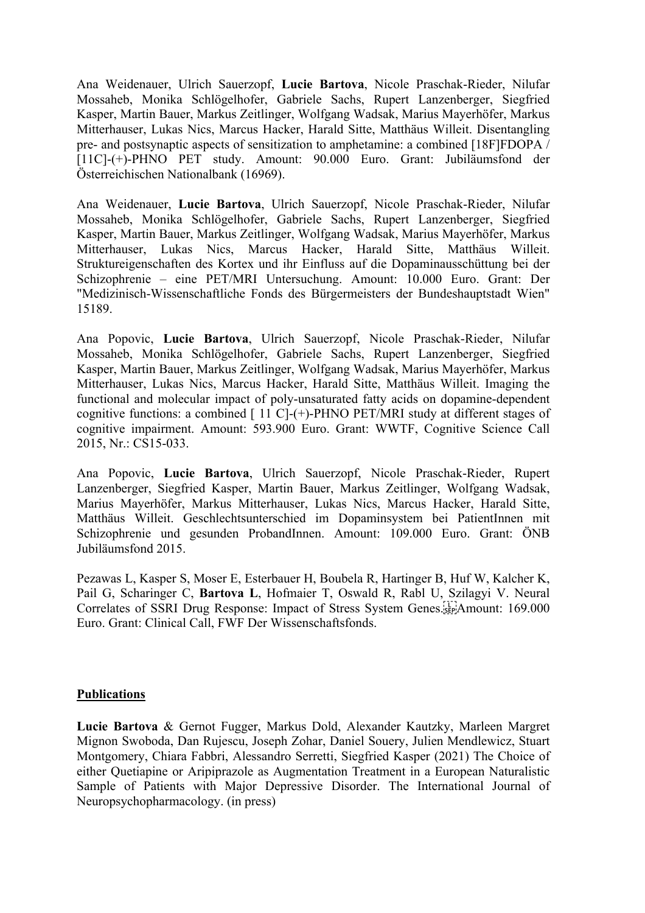Ana Weidenauer, Ulrich Sauerzopf, **Lucie Bartova**, Nicole Praschak-Rieder, Nilufar Mossaheb, Monika Schlögelhofer, Gabriele Sachs, Rupert Lanzenberger, Siegfried Kasper, Martin Bauer, Markus Zeitlinger, Wolfgang Wadsak, Marius Mayerhöfer, Markus Mitterhauser, Lukas Nics, Marcus Hacker, Harald Sitte, Matthäus Willeit. Disentangling pre- and postsynaptic aspects of sensitization to amphetamine: a combined [18F]FDOPA / [11C]-(+)-PHNO PET study. Amount: 90.000 Euro. Grant: Jubiläumsfond der Österreichischen Nationalbank (16969).

Ana Weidenauer, **Lucie Bartova**, Ulrich Sauerzopf, Nicole Praschak-Rieder, Nilufar Mossaheb, Monika Schlögelhofer, Gabriele Sachs, Rupert Lanzenberger, Siegfried Kasper, Martin Bauer, Markus Zeitlinger, Wolfgang Wadsak, Marius Mayerhöfer, Markus Mitterhauser, Lukas Nics, Marcus Hacker, Harald Sitte, Matthäus Willeit. Struktureigenschaften des Kortex und ihr Einfluss auf die Dopaminausschüttung bei der Schizophrenie – eine PET/MRI Untersuchung. Amount: 10.000 Euro. Grant: Der "Medizinisch-Wissenschaftliche Fonds des Bürgermeisters der Bundeshauptstadt Wien" 15189.

Ana Popovic, **Lucie Bartova**, Ulrich Sauerzopf, Nicole Praschak-Rieder, Nilufar Mossaheb, Monika Schlögelhofer, Gabriele Sachs, Rupert Lanzenberger, Siegfried Kasper, Martin Bauer, Markus Zeitlinger, Wolfgang Wadsak, Marius Mayerhöfer, Markus Mitterhauser, Lukas Nics, Marcus Hacker, Harald Sitte, Matthäus Willeit. Imaging the functional and molecular impact of poly-unsaturated fatty acids on dopamine-dependent cognitive functions: a combined  $[11 \text{ C}]-(+)$ -PHNO PET/MRI study at different stages of cognitive impairment. Amount: 593.900 Euro. Grant: WWTF, Cognitive Science Call 2015, Nr.: CS15-033.

Ana Popovic, **Lucie Bartova**, Ulrich Sauerzopf, Nicole Praschak-Rieder, Rupert Lanzenberger, Siegfried Kasper, Martin Bauer, Markus Zeitlinger, Wolfgang Wadsak, Marius Mayerhöfer, Markus Mitterhauser, Lukas Nics, Marcus Hacker, Harald Sitte, Matthäus Willeit. Geschlechtsunterschied im Dopaminsystem bei PatientInnen mit Schizophrenie und gesunden ProbandInnen. Amount: 109.000 Euro. Grant: ÖNB Jubiläumsfond 2015.

Pezawas L, Kasper S, Moser E, Esterbauer H, Boubela R, Hartinger B, Huf W, Kalcher K, Pail G, Scharinger C, **Bartova L**, Hofmaier T, Oswald R, Rabl U, Szilagyi V. Neural Correlates of SSRI Drug Response: Impact of Stress System Genes. EPA mount: 169.000 Euro. Grant: Clinical Call, FWF Der Wissenschaftsfonds.

#### **Publications**

**Lucie Bartova** & Gernot Fugger, Markus Dold, Alexander Kautzky, Marleen Margret Mignon Swoboda, Dan Rujescu, Joseph Zohar, Daniel Souery, Julien Mendlewicz, Stuart Montgomery, Chiara Fabbri, Alessandro Serretti, Siegfried Kasper (2021) The Choice of either Quetiapine or Aripiprazole as Augmentation Treatment in a European Naturalistic Sample of Patients with Major Depressive Disorder. The International Journal of Neuropsychopharmacology. (in press)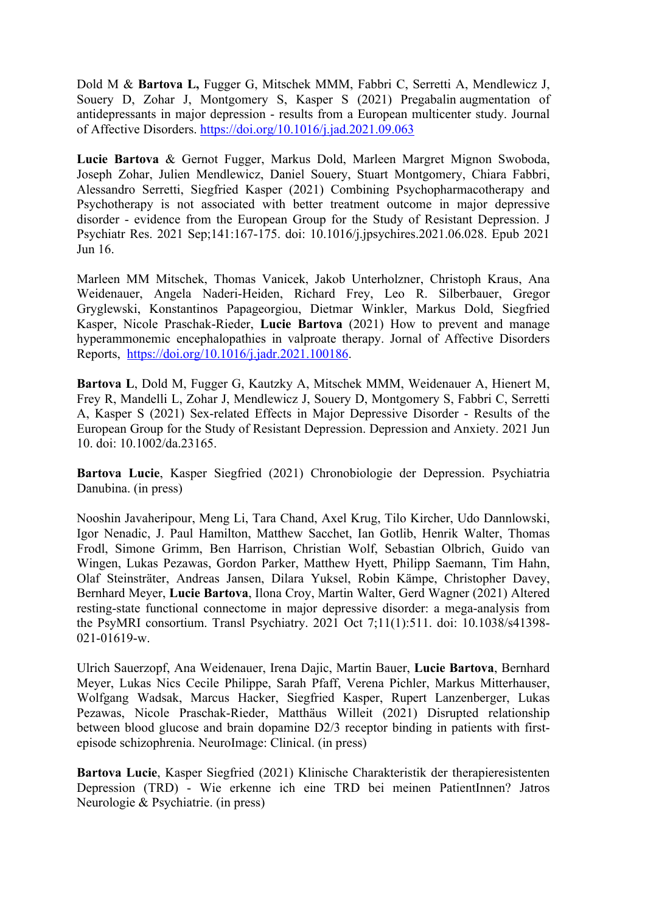Dold M & **Bartova L,** Fugger G, Mitschek MMM, Fabbri C, Serretti A, Mendlewicz J, Souery D, Zohar J, Montgomery S, Kasper S (2021) Pregabalin augmentation of antidepressants in major depression - results from a European multicenter study. Journal of Affective Disorders. https://doi.org/10.1016/j.jad.2021.09.063

**Lucie Bartova** & Gernot Fugger, Markus Dold, Marleen Margret Mignon Swoboda, Joseph Zohar, Julien Mendlewicz, Daniel Souery, Stuart Montgomery, Chiara Fabbri, Alessandro Serretti, Siegfried Kasper (2021) Combining Psychopharmacotherapy and Psychotherapy is not associated with better treatment outcome in major depressive disorder - evidence from the European Group for the Study of Resistant Depression. J Psychiatr Res. 2021 Sep;141:167-175. doi: 10.1016/j.jpsychires.2021.06.028. Epub 2021 Jun 16.

Marleen MM Mitschek, Thomas Vanicek, Jakob Unterholzner, Christoph Kraus, Ana Weidenauer, Angela Naderi-Heiden, Richard Frey, Leo R. Silberbauer, Gregor Gryglewski, Konstantinos Papageorgiou, Dietmar Winkler, Markus Dold, Siegfried Kasper, Nicole Praschak-Rieder, **Lucie Bartova** (2021) How to prevent and manage hyperammonemic encephalopathies in valproate therapy. Jornal of Affective Disorders Reports, https://doi.org/10.1016/j.jadr.2021.100186.

**Bartova L**, Dold M, Fugger G, Kautzky A, Mitschek MMM, Weidenauer A, Hienert M, Frey R, Mandelli L, Zohar J, Mendlewicz J, Souery D, Montgomery S, Fabbri C, Serretti A, Kasper S (2021) Sex-related Effects in Major Depressive Disorder - Results of the European Group for the Study of Resistant Depression. Depression and Anxiety. 2021 Jun 10. doi: 10.1002/da.23165.

**Bartova Lucie**, Kasper Siegfried (2021) Chronobiologie der Depression. Psychiatria Danubina. (in press)

Nooshin Javaheripour, Meng Li, Tara Chand, Axel Krug, Tilo Kircher, Udo Dannlowski, Igor Nenadic, J. Paul Hamilton, Matthew Sacchet, Ian Gotlib, Henrik Walter, Thomas Frodl, Simone Grimm, Ben Harrison, Christian Wolf, Sebastian Olbrich, Guido van Wingen, Lukas Pezawas, Gordon Parker, Matthew Hyett, Philipp Saemann, Tim Hahn, Olaf Steinsträter, Andreas Jansen, Dilara Yuksel, Robin Kämpe, Christopher Davey, Bernhard Meyer, **Lucie Bartova**, Ilona Croy, Martin Walter, Gerd Wagner (2021) Altered resting-state functional connectome in major depressive disorder: a mega-analysis from the PsyMRI consortium. Transl Psychiatry. 2021 Oct 7;11(1):511. doi: 10.1038/s41398- 021-01619-w.

Ulrich Sauerzopf, Ana Weidenauer, Irena Dajic, Martin Bauer, **Lucie Bartova**, Bernhard Meyer, Lukas Nics Cecile Philippe, Sarah Pfaff, Verena Pichler, Markus Mitterhauser, Wolfgang Wadsak, Marcus Hacker, Siegfried Kasper, Rupert Lanzenberger, Lukas Pezawas, Nicole Praschak-Rieder, Matthäus Willeit (2021) Disrupted relationship between blood glucose and brain dopamine D2/3 receptor binding in patients with firstepisode schizophrenia. NeuroImage: Clinical. (in press)

**Bartova Lucie**, Kasper Siegfried (2021) Klinische Charakteristik der therapieresistenten Depression (TRD) - Wie erkenne ich eine TRD bei meinen PatientInnen? Jatros Neurologie & Psychiatrie. (in press)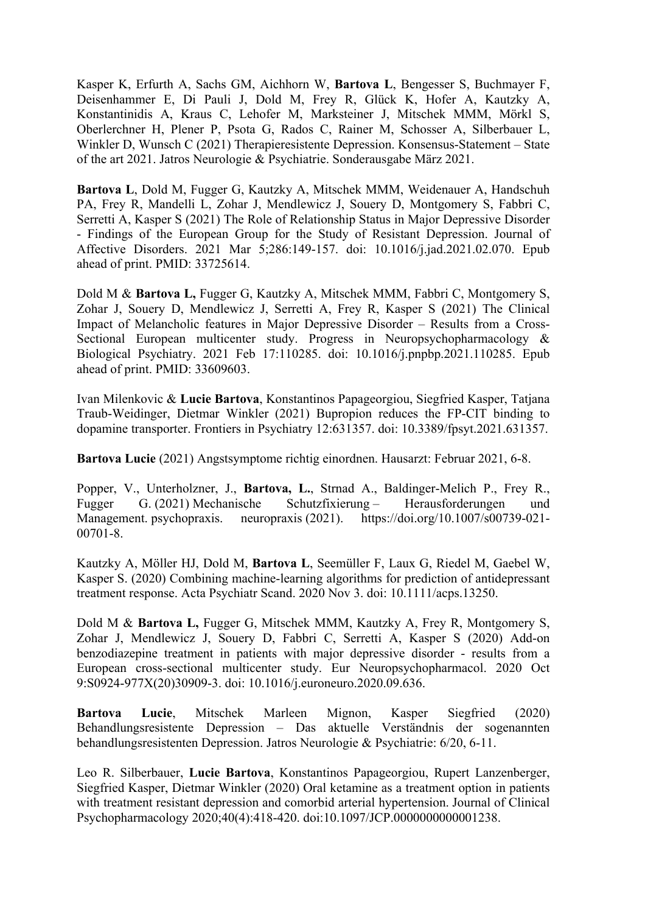Kasper K, Erfurth A, Sachs GM, Aichhorn W, **Bartova L**, Bengesser S, Buchmayer F, Deisenhammer E, Di Pauli J, Dold M, Frey R, Glück K, Hofer A, Kautzky A, Konstantinidis A, Kraus C, Lehofer M, Marksteiner J, Mitschek MMM, Mörkl S, Oberlerchner H, Plener P, Psota G, Rados C, Rainer M, Schosser A, Silberbauer L, Winkler D, Wunsch C (2021) Therapieresistente Depression. Konsensus-Statement – State of the art 2021. Jatros Neurologie & Psychiatrie. Sonderausgabe März 2021.

**Bartova L**, Dold M, Fugger G, Kautzky A, Mitschek MMM, Weidenauer A, Handschuh PA, Frey R, Mandelli L, Zohar J, Mendlewicz J, Souery D, Montgomery S, Fabbri C, Serretti A, Kasper S (2021) The Role of Relationship Status in Major Depressive Disorder - Findings of the European Group for the Study of Resistant Depression. Journal of Affective Disorders. 2021 Mar 5;286:149-157. doi: 10.1016/j.jad.2021.02.070. Epub ahead of print. PMID: 33725614.

Dold M & **Bartova L,** Fugger G, Kautzky A, Mitschek MMM, Fabbri C, Montgomery S, Zohar J, Souery D, Mendlewicz J, Serretti A, Frey R, Kasper S (2021) The Clinical Impact of Melancholic features in Major Depressive Disorder – Results from a Cross-Sectional European multicenter study. Progress in Neuropsychopharmacology & Biological Psychiatry. 2021 Feb 17:110285. doi: 10.1016/j.pnpbp.2021.110285. Epub ahead of print. PMID: 33609603.

Ivan Milenkovic & **Lucie Bartova**, Konstantinos Papageorgiou, Siegfried Kasper, Tatjana Traub-Weidinger, Dietmar Winkler (2021) Bupropion reduces the FP-CIT binding to dopamine transporter. Frontiers in Psychiatry 12:631357. doi: 10.3389/fpsyt.2021.631357.

**Bartova Lucie** (2021) Angstsymptome richtig einordnen. Hausarzt: Februar 2021, 6-8.

Popper, V., Unterholzner, J., **Bartova, L.**, Strnad A., Baldinger-Melich P., Frey R., Fugger G. (2021) Mechanische Schutzfixierung – Herausforderungen und Management. psychopraxis. neuropraxis (2021). https://doi.org/10.1007/s00739-021- 00701-8.

Kautzky A, Möller HJ, Dold M, **Bartova L**, Seemüller F, Laux G, Riedel M, Gaebel W, Kasper S. (2020) Combining machine-learning algorithms for prediction of antidepressant treatment response. Acta Psychiatr Scand. 2020 Nov 3. doi: 10.1111/acps.13250.

Dold M & **Bartova L,** Fugger G, Mitschek MMM, Kautzky A, Frey R, Montgomery S, Zohar J, Mendlewicz J, Souery D, Fabbri C, Serretti A, Kasper S (2020) Add-on benzodiazepine treatment in patients with major depressive disorder - results from a European cross-sectional multicenter study. Eur Neuropsychopharmacol. 2020 Oct 9:S0924-977X(20)30909-3. doi: 10.1016/j.euroneuro.2020.09.636.

**Bartova Lucie**, Mitschek Marleen Mignon, Kasper Siegfried (2020) Behandlungsresistente Depression – Das aktuelle Verständnis der sogenannten behandlungsresistenten Depression. Jatros Neurologie & Psychiatrie: 6/20, 6-11.

Leo R. Silberbauer, **Lucie Bartova**, Konstantinos Papageorgiou, Rupert Lanzenberger, Siegfried Kasper, Dietmar Winkler (2020) Oral ketamine as a treatment option in patients with treatment resistant depression and comorbid arterial hypertension. Journal of Clinical Psychopharmacology 2020;40(4):418-420. doi:10.1097/JCP.0000000000001238.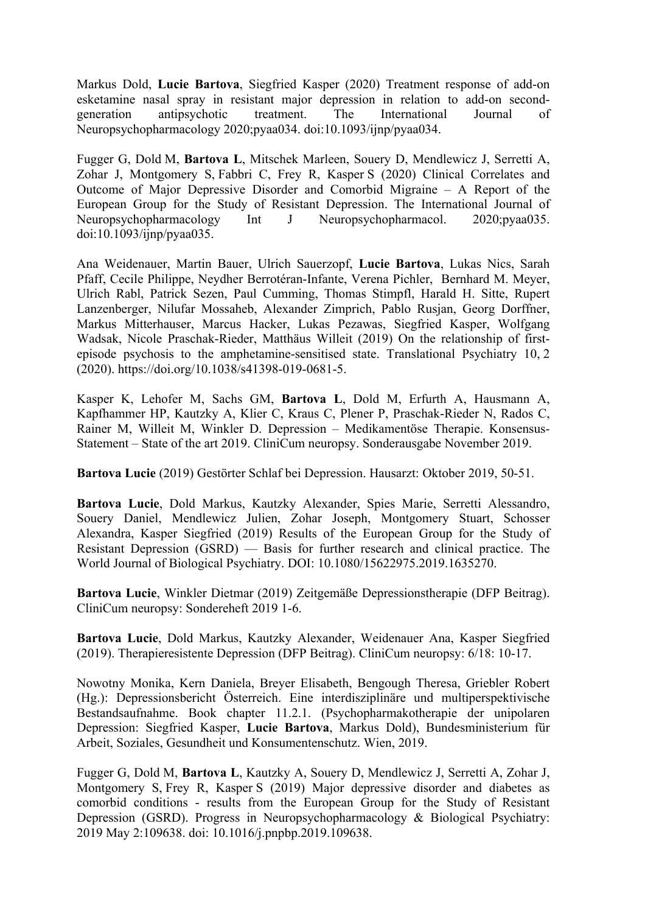Markus Dold, **Lucie Bartova**, Siegfried Kasper (2020) Treatment response of add-on esketamine nasal spray in resistant major depression in relation to add-on secondgeneration antipsychotic treatment. The International Journal of Neuropsychopharmacology 2020;pyaa034. doi:10.1093/ijnp/pyaa034.

Fugger G, Dold M, **Bartova L**, Mitschek Marleen, Souery D, Mendlewicz J, Serretti A, Zohar J, Montgomery S, Fabbri C, Frey R, Kasper S (2020) Clinical Correlates and Outcome of Major Depressive Disorder and Comorbid Migraine – A Report of the European Group for the Study of Resistant Depression. The International Journal of Neuropsychopharmacology Int J Neuropsychopharmacol. 2020;pyaa035. doi:10.1093/ijnp/pyaa035.

Ana Weidenauer, Martin Bauer, Ulrich Sauerzopf, **Lucie Bartova**, Lukas Nics, Sarah Pfaff, Cecile Philippe, Neydher Berrotéran-Infante, Verena Pichler, Bernhard M. Meyer, Ulrich Rabl, Patrick Sezen, Paul Cumming, Thomas Stimpfl, Harald H. Sitte, Rupert Lanzenberger, Nilufar Mossaheb, Alexander Zimprich, Pablo Rusjan, Georg Dorffner, Markus Mitterhauser, Marcus Hacker, Lukas Pezawas, Siegfried Kasper, Wolfgang Wadsak, Nicole Praschak-Rieder, Matthäus Willeit (2019) On the relationship of firstepisode psychosis to the amphetamine-sensitised state. Translational Psychiatry 10, 2 (2020). https://doi.org/10.1038/s41398-019-0681-5.

Kasper K, Lehofer M, Sachs GM, **Bartova L**, Dold M, Erfurth A, Hausmann A, Kapfhammer HP, Kautzky A, Klier C, Kraus C, Plener P, Praschak-Rieder N, Rados C, Rainer M, Willeit M, Winkler D. Depression – Medikamentöse Therapie. Konsensus-Statement – State of the art 2019. CliniCum neuropsy. Sonderausgabe November 2019.

**Bartova Lucie** (2019) Gestörter Schlaf bei Depression. Hausarzt: Oktober 2019, 50-51.

**Bartova Lucie**, Dold Markus, Kautzky Alexander, Spies Marie, Serretti Alessandro, Souery Daniel, Mendlewicz Julien, Zohar Joseph, Montgomery Stuart, Schosser Alexandra, Kasper Siegfried (2019) Results of the European Group for the Study of Resistant Depression (GSRD) — Basis for further research and clinical practice. The World Journal of Biological Psychiatry. DOI: 10.1080/15622975.2019.1635270.

**Bartova Lucie**, Winkler Dietmar (2019) Zeitgemäße Depressionstherapie (DFP Beitrag). CliniCum neuropsy: Sondereheft 2019 1-6.

**Bartova Lucie**, Dold Markus, Kautzky Alexander, Weidenauer Ana, Kasper Siegfried (2019). Therapieresistente Depression (DFP Beitrag). CliniCum neuropsy: 6/18: 10-17.

Nowotny Monika, Kern Daniela, Breyer Elisabeth, Bengough Theresa, Griebler Robert (Hg.): Depressionsbericht Österreich. Eine interdisziplinäre und multiperspektivische Bestandsaufnahme. Book chapter 11.2.1. (Psychopharmakotherapie der unipolaren Depression: Siegfried Kasper, **Lucie Bartova**, Markus Dold), Bundesministerium für Arbeit, Soziales, Gesundheit und Konsumentenschutz. Wien, 2019.

Fugger G, Dold M, **Bartova L**, Kautzky A, Souery D, Mendlewicz J, Serretti A, Zohar J, Montgomery S, Frey R, Kasper S (2019) Major depressive disorder and diabetes as comorbid conditions - results from the European Group for the Study of Resistant Depression (GSRD). Progress in Neuropsychopharmacology & Biological Psychiatry: 2019 May 2:109638. doi: 10.1016/j.pnpbp.2019.109638.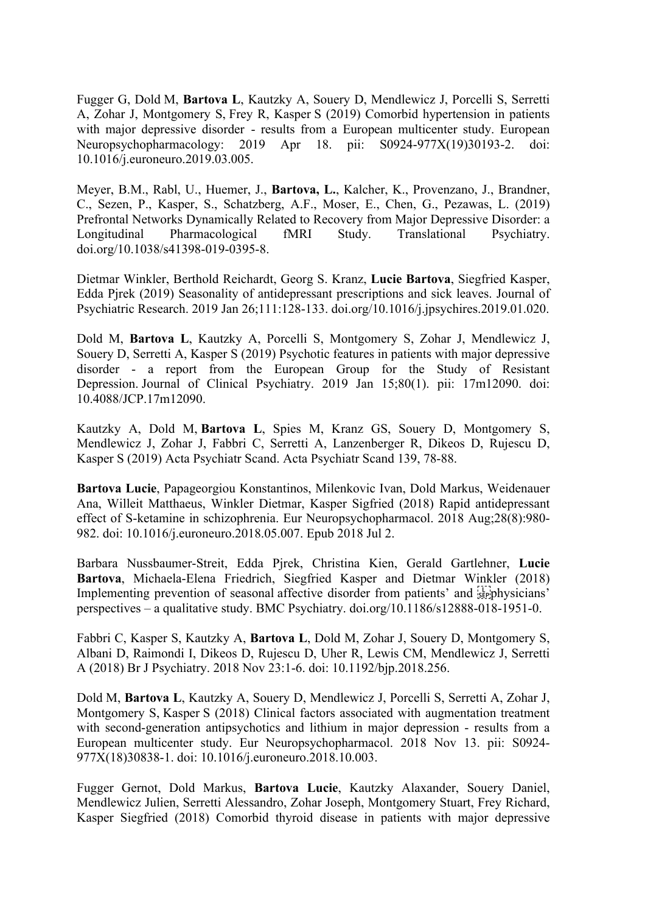Fugger G, Dold M, **Bartova L**, Kautzky A, Souery D, Mendlewicz J, Porcelli S, Serretti A, Zohar J, Montgomery S, Frey R, Kasper S (2019) Comorbid hypertension in patients with major depressive disorder - results from a European multicenter study. European Neuropsychopharmacology: 2019 Apr 18. pii: S0924-977X(19)30193-2. doi: 10.1016/j.euroneuro.2019.03.005.

Meyer, B.M., Rabl, U., Huemer, J., **Bartova, L.**, Kalcher, K., Provenzano, J., Brandner, C., Sezen, P., Kasper, S., Schatzberg, A.F., Moser, E., Chen, G., Pezawas, L. (2019) Prefrontal Networks Dynamically Related to Recovery from Major Depressive Disorder: a Longitudinal Pharmacological fMRI Study. Translational Psychiatry. doi.org/10.1038/s41398-019-0395-8.

Dietmar Winkler, Berthold Reichardt, Georg S. Kranz, **Lucie Bartova**, Siegfried Kasper, Edda Pjrek (2019) Seasonality of antidepressant prescriptions and sick leaves. Journal of Psychiatric Research. 2019 Jan 26;111:128-133. doi.org/10.1016/j.jpsychires.2019.01.020.

Dold M, **Bartova L**, Kautzky A, Porcelli S, Montgomery S, Zohar J, Mendlewicz J, Souery D, Serretti A, Kasper S (2019) Psychotic features in patients with major depressive disorder - a report from the European Group for the Study of Resistant Depression. Journal of Clinical Psychiatry. 2019 Jan 15;80(1). pii: 17m12090. doi: 10.4088/JCP.17m12090.

Kautzky A, Dold M, **Bartova L**, Spies M, Kranz GS, Souery D, Montgomery S, Mendlewicz J, Zohar J, Fabbri C, Serretti A, Lanzenberger R, Dikeos D, Rujescu D, Kasper S (2019) Acta Psychiatr Scand. Acta Psychiatr Scand 139, 78-88.

**Bartova Lucie**, Papageorgiou Konstantinos, Milenkovic Ivan, Dold Markus, Weidenauer Ana, Willeit Matthaeus, Winkler Dietmar, Kasper Sigfried (2018) Rapid antidepressant effect of S-ketamine in schizophrenia. Eur Neuropsychopharmacol. 2018 Aug;28(8):980- 982. doi: 10.1016/j.euroneuro.2018.05.007. Epub 2018 Jul 2.

Barbara Nussbaumer-Streit, Edda Pjrek, Christina Kien, Gerald Gartlehner, **Lucie Bartova**, Michaela-Elena Friedrich, Siegfried Kasper and Dietmar Winkler (2018) Implementing prevention of seasonal affective disorder from patients' and  $\frac{1}{2}$  physicians' perspectives – a qualitative study. BMC Psychiatry. doi.org/10.1186/s12888-018-1951-0.

Fabbri C, Kasper S, Kautzky A, **Bartova L**, Dold M, Zohar J, Souery D, Montgomery S, Albani D, Raimondi I, Dikeos D, Rujescu D, Uher R, Lewis CM, Mendlewicz J, Serretti A (2018) Br J Psychiatry. 2018 Nov 23:1-6. doi: 10.1192/bjp.2018.256.

Dold M, **Bartova L**, Kautzky A, Souery D, Mendlewicz J, Porcelli S, Serretti A, Zohar J, Montgomery S, Kasper S (2018) Clinical factors associated with augmentation treatment with second-generation antipsychotics and lithium in major depression - results from a European multicenter study. Eur Neuropsychopharmacol. 2018 Nov 13. pii: S0924- 977X(18)30838-1. doi: 10.1016/j.euroneuro.2018.10.003.

Fugger Gernot, Dold Markus, **Bartova Lucie**, Kautzky Alaxander, Souery Daniel, Mendlewicz Julien, Serretti Alessandro, Zohar Joseph, Montgomery Stuart, Frey Richard, Kasper Siegfried (2018) Comorbid thyroid disease in patients with major depressive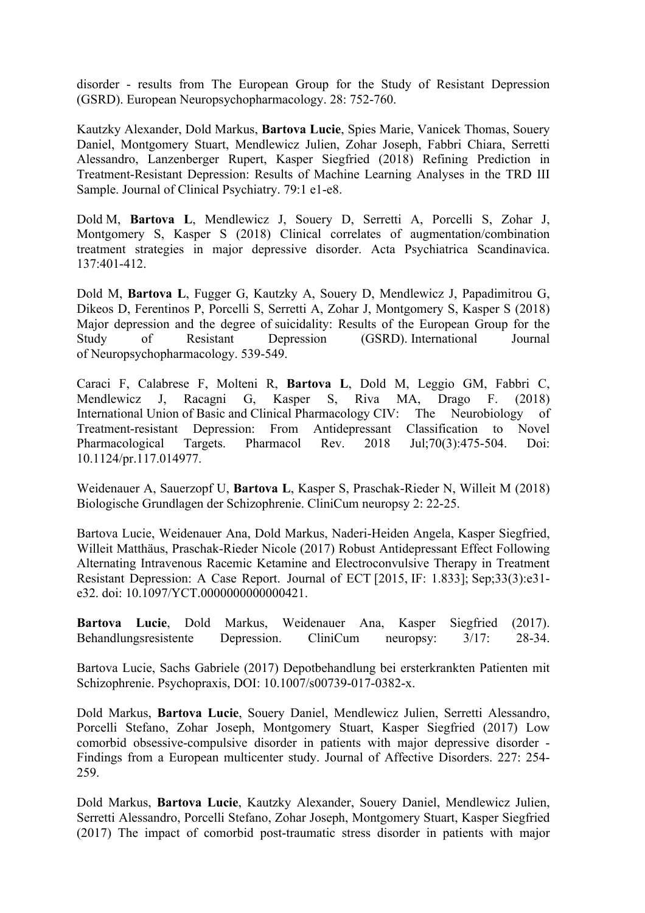disorder - results from The European Group for the Study of Resistant Depression (GSRD). European Neuropsychopharmacology. 28: 752-760.

Kautzky Alexander, Dold Markus, **Bartova Lucie**, Spies Marie, Vanicek Thomas, Souery Daniel, Montgomery Stuart, Mendlewicz Julien, Zohar Joseph, Fabbri Chiara, Serretti Alessandro, Lanzenberger Rupert, Kasper Siegfried (2018) Refining Prediction in Treatment-Resistant Depression: Results of Machine Learning Analyses in the TRD III Sample. Journal of Clinical Psychiatry. 79:1 e1-e8.

Dold M, **Bartova L**, Mendlewicz J, Souery D, Serretti A, Porcelli S, Zohar J, Montgomery S, Kasper S (2018) Clinical correlates of augmentation/combination treatment strategies in major depressive disorder. Acta Psychiatrica Scandinavica. 137:401-412.

Dold M, **Bartova L**, Fugger G, Kautzky A, Souery D, Mendlewicz J, Papadimitrou G, Dikeos D, Ferentinos P, Porcelli S, Serretti A, Zohar J, Montgomery S, Kasper S (2018) Major depression and the degree of suicidality: Results of the European Group for the Study of Resistant Depression (GSRD). International Journal of Neuropsychopharmacology. 539-549.

Caraci F, Calabrese F, Molteni R, **Bartova L**, Dold M, Leggio GM, Fabbri C, Mendlewicz J, Racagni G, Kasper S, Riva MA, Drago F. (2018) International Union of Basic and Clinical Pharmacology CIV: The Neurobiology of Treatment-resistant Depression: From Antidepressant Classification to Novel Pharmacological Targets. Pharmacol Rev. 2018 Jul;70(3):475-504. Doi: 10.1124/pr.117.014977.

Weidenauer A, Sauerzopf U, **Bartova L**, Kasper S, Praschak-Rieder N, Willeit M (2018) Biologische Grundlagen der Schizophrenie. CliniCum neuropsy 2: 22-25.

Bartova Lucie, Weidenauer Ana, Dold Markus, Naderi-Heiden Angela, Kasper Siegfried, Willeit Matthäus, Praschak-Rieder Nicole (2017) Robust Antidepressant Effect Following Alternating Intravenous Racemic Ketamine and Electroconvulsive Therapy in Treatment Resistant Depression: A Case Report. Journal of ECT [2015, IF: 1.833]; Sep;33(3):e31 e32. doi: 10.1097/YCT.0000000000000421.

**Bartova Lucie**, Dold Markus, Weidenauer Ana, Kasper Siegfried (2017). Behandlungsresistente Depression. CliniCum neuropsy: 3/17: 28-34.

Bartova Lucie, Sachs Gabriele (2017) Depotbehandlung bei ersterkrankten Patienten mit Schizophrenie. Psychopraxis, DOI: 10.1007/s00739-017-0382-x.

Dold Markus, **Bartova Lucie**, Souery Daniel, Mendlewicz Julien, Serretti Alessandro, Porcelli Stefano, Zohar Joseph, Montgomery Stuart, Kasper Siegfried (2017) Low comorbid obsessive-compulsive disorder in patients with major depressive disorder - Findings from a European multicenter study. Journal of Affective Disorders. 227: 254- 259.

Dold Markus, **Bartova Lucie**, Kautzky Alexander, Souery Daniel, Mendlewicz Julien, Serretti Alessandro, Porcelli Stefano, Zohar Joseph, Montgomery Stuart, Kasper Siegfried (2017) The impact of comorbid post-traumatic stress disorder in patients with major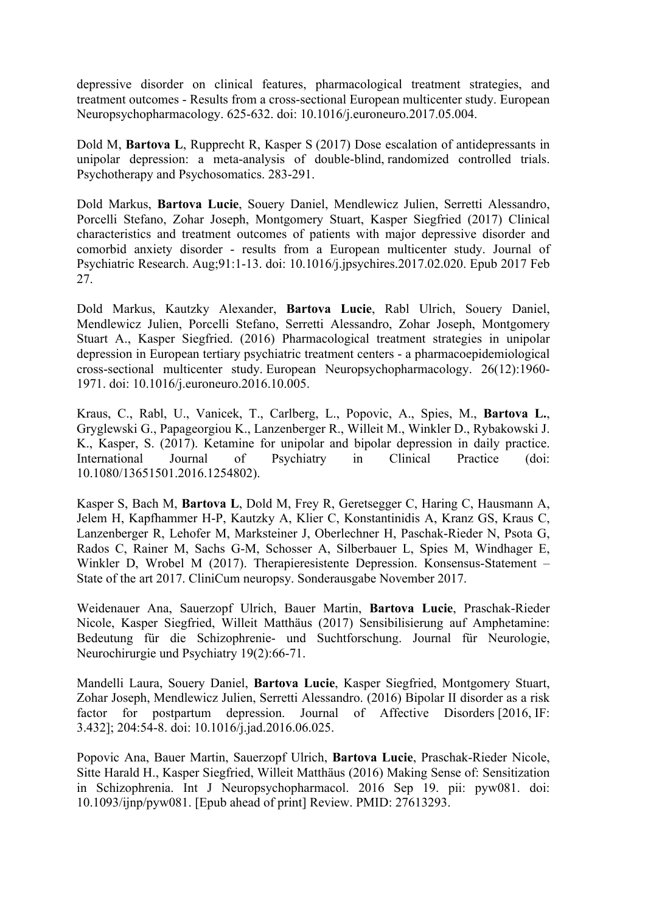depressive disorder on clinical features, pharmacological treatment strategies, and treatment outcomes - Results from a cross-sectional European multicenter study. European Neuropsychopharmacology. 625-632. doi: 10.1016/j.euroneuro.2017.05.004.

Dold M, **Bartova L**, Rupprecht R, Kasper S (2017) Dose escalation of antidepressants in unipolar depression: a meta-analysis of double-blind, randomized controlled trials. Psychotherapy and Psychosomatics. 283-291.

Dold Markus, **Bartova Lucie**, Souery Daniel, Mendlewicz Julien, Serretti Alessandro, Porcelli Stefano, Zohar Joseph, Montgomery Stuart, Kasper Siegfried (2017) Clinical characteristics and treatment outcomes of patients with major depressive disorder and comorbid anxiety disorder - results from a European multicenter study. Journal of Psychiatric Research. Aug;91:1-13. doi: 10.1016/j.jpsychires.2017.02.020. Epub 2017 Feb 27.

Dold Markus, Kautzky Alexander, **Bartova Lucie**, Rabl Ulrich, Souery Daniel, Mendlewicz Julien, Porcelli Stefano, Serretti Alessandro, Zohar Joseph, Montgomery Stuart A., Kasper Siegfried. (2016) Pharmacological treatment strategies in unipolar depression in European tertiary psychiatric treatment centers - a pharmacoepidemiological cross-sectional multicenter study. European Neuropsychopharmacology. 26(12):1960- 1971. doi: 10.1016/j.euroneuro.2016.10.005.

Kraus, C., Rabl, U., Vanicek, T., Carlberg, L., Popovic, A., Spies, M., **Bartova L.**, Gryglewski G., Papageorgiou K., Lanzenberger R., Willeit M., Winkler D., Rybakowski J. K., Kasper, S. (2017). Ketamine for unipolar and bipolar depression in daily practice. International Journal of Psychiatry in Clinical Practice (doi: 10.1080/13651501.2016.1254802).

Kasper S, Bach M, **Bartova L**, Dold M, Frey R, Geretsegger C, Haring C, Hausmann A, Jelem H, Kapfhammer H-P, Kautzky A, Klier C, Konstantinidis A, Kranz GS, Kraus C, Lanzenberger R, Lehofer M, Marksteiner J, Oberlechner H, Paschak-Rieder N, Psota G, Rados C, Rainer M, Sachs G-M, Schosser A, Silberbauer L, Spies M, Windhager E, Winkler D, Wrobel M (2017). Therapieresistente Depression. Konsensus-Statement – State of the art 2017. CliniCum neuropsy. Sonderausgabe November 2017.

Weidenauer Ana, Sauerzopf Ulrich, Bauer Martin, **Bartova Lucie**, Praschak-Rieder Nicole, Kasper Siegfried, Willeit Matthäus (2017) Sensibilisierung auf Amphetamine: Bedeutung für die Schizophrenie- und Suchtforschung. Journal für Neurologie, Neurochirurgie und Psychiatry 19(2):66-71.

Mandelli Laura, Souery Daniel, **Bartova Lucie**, Kasper Siegfried, Montgomery Stuart, Zohar Joseph, Mendlewicz Julien, Serretti Alessandro. (2016) Bipolar II disorder as a risk factor for postpartum depression. Journal of Affective Disorders [2016, IF: 3.432]; 204:54-8. doi: 10.1016/j.jad.2016.06.025.

Popovic Ana, Bauer Martin, Sauerzopf Ulrich, **Bartova Lucie**, Praschak-Rieder Nicole, Sitte Harald H., Kasper Siegfried, Willeit Matthäus (2016) Making Sense of: Sensitization in Schizophrenia. Int J Neuropsychopharmacol. 2016 Sep 19. pii: pyw081. doi: 10.1093/ijnp/pyw081. [Epub ahead of print] Review. PMID: 27613293.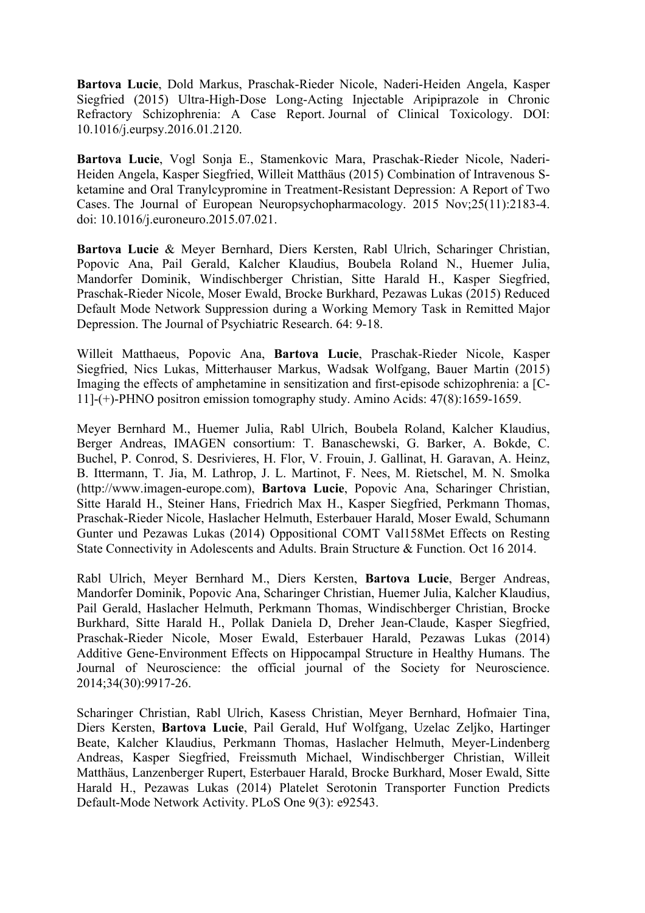**Bartova Lucie**, Dold Markus, Praschak-Rieder Nicole, Naderi-Heiden Angela, Kasper Siegfried (2015) Ultra-High-Dose Long-Acting Injectable Aripiprazole in Chronic Refractory Schizophrenia: A Case Report. Journal of Clinical Toxicology. DOI: 10.1016/j.eurpsy.2016.01.2120.

**Bartova Lucie**, Vogl Sonja E., Stamenkovic Mara, Praschak-Rieder Nicole, Naderi-Heiden Angela, Kasper Siegfried, Willeit Matthäus (2015) Combination of Intravenous Sketamine and Oral Tranylcypromine in Treatment-Resistant Depression: A Report of Two Cases. The Journal of European Neuropsychopharmacology. 2015 Nov;25(11):2183-4. doi: 10.1016/j.euroneuro.2015.07.021.

**Bartova Lucie** & Meyer Bernhard, Diers Kersten, Rabl Ulrich, Scharinger Christian, Popovic Ana, Pail Gerald, Kalcher Klaudius, Boubela Roland N., Huemer Julia, Mandorfer Dominik, Windischberger Christian, Sitte Harald H., Kasper Siegfried, Praschak-Rieder Nicole, Moser Ewald, Brocke Burkhard, Pezawas Lukas (2015) Reduced Default Mode Network Suppression during a Working Memory Task in Remitted Major Depression. The Journal of Psychiatric Research. 64: 9-18.

Willeit Matthaeus, Popovic Ana, **Bartova Lucie**, Praschak-Rieder Nicole, Kasper Siegfried, Nics Lukas, Mitterhauser Markus, Wadsak Wolfgang, Bauer Martin (2015) Imaging the effects of amphetamine in sensitization and first-episode schizophrenia: a [C-11]-(+)-PHNO positron emission tomography study. Amino Acids: 47(8):1659-1659.

Meyer Bernhard M., Huemer Julia, Rabl Ulrich, Boubela Roland, Kalcher Klaudius, Berger Andreas, IMAGEN consortium: T. Banaschewski, G. Barker, A. Bokde, C. Buchel, P. Conrod, S. Desrivieres, H. Flor, V. Frouin, J. Gallinat, H. Garavan, A. Heinz, B. Ittermann, T. Jia, M. Lathrop, J. L. Martinot, F. Nees, M. Rietschel, M. N. Smolka (http://www.imagen-europe.com), **Bartova Lucie**, Popovic Ana, Scharinger Christian, Sitte Harald H., Steiner Hans, Friedrich Max H., Kasper Siegfried, Perkmann Thomas, Praschak-Rieder Nicole, Haslacher Helmuth, Esterbauer Harald, Moser Ewald, Schumann Gunter und Pezawas Lukas (2014) Oppositional COMT Val158Met Effects on Resting State Connectivity in Adolescents and Adults. Brain Structure & Function. Oct 16 2014.

Rabl Ulrich, Meyer Bernhard M., Diers Kersten, **Bartova Lucie**, Berger Andreas, Mandorfer Dominik, Popovic Ana, Scharinger Christian, Huemer Julia, Kalcher Klaudius, Pail Gerald, Haslacher Helmuth, Perkmann Thomas, Windischberger Christian, Brocke Burkhard, Sitte Harald H., Pollak Daniela D, Dreher Jean-Claude, Kasper Siegfried, Praschak-Rieder Nicole, Moser Ewald, Esterbauer Harald, Pezawas Lukas (2014) Additive Gene-Environment Effects on Hippocampal Structure in Healthy Humans. The Journal of Neuroscience: the official journal of the Society for Neuroscience. 2014;34(30):9917-26.

Scharinger Christian, Rabl Ulrich, Kasess Christian, Meyer Bernhard, Hofmaier Tina, Diers Kersten, **Bartova Lucie**, Pail Gerald, Huf Wolfgang, Uzelac Zeljko, Hartinger Beate, Kalcher Klaudius, Perkmann Thomas, Haslacher Helmuth, Meyer-Lindenberg Andreas, Kasper Siegfried, Freissmuth Michael, Windischberger Christian, Willeit Matthäus, Lanzenberger Rupert, Esterbauer Harald, Brocke Burkhard, Moser Ewald, Sitte Harald H., Pezawas Lukas (2014) Platelet Serotonin Transporter Function Predicts Default-Mode Network Activity. PLoS One 9(3): e92543.